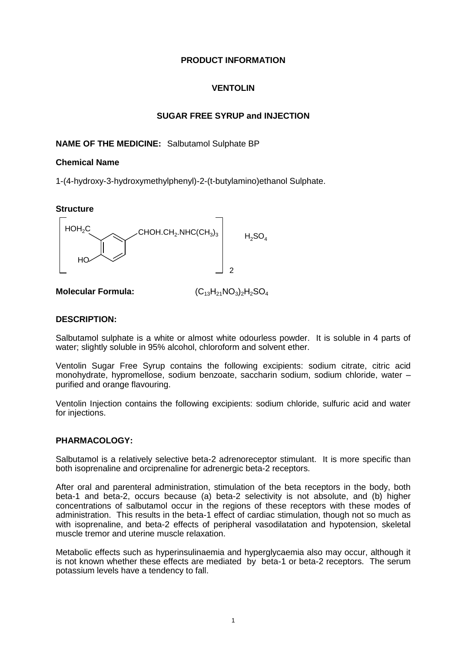# **PRODUCT INFORMATION**

# **VENTOLIN**

# **SUGAR FREE SYRUP and INJECTION**

# **NAME OF THE MEDICINE:** Salbutamol Sulphate BP

# **Chemical Name**

1-(4-hydroxy-3-hydroxymethylphenyl)-2-(t-butylamino)ethanol Sulphate.

# **Structure**



**Molecular Formula:**  $(C_{13}H_{21}NO_3)_2H_2SO_4$ 

## **DESCRIPTION:**

Salbutamol sulphate is a white or almost white odourless powder. It is soluble in 4 parts of water; slightly soluble in 95% alcohol, chloroform and solvent ether.

Ventolin Sugar Free Syrup contains the following excipients: sodium citrate, citric acid monohydrate, hypromellose, sodium benzoate, saccharin sodium, sodium chloride, water – purified and orange flavouring.

Ventolin Injection contains the following excipients: sodium chloride, sulfuric acid and water for injections.

## **PHARMACOLOGY:**

Salbutamol is a relatively selective beta-2 adrenoreceptor stimulant. It is more specific than both isoprenaline and orciprenaline for adrenergic beta-2 receptors.

After oral and parenteral administration, stimulation of the beta receptors in the body, both beta-1 and beta-2, occurs because (a) beta-2 selectivity is not absolute, and (b) higher concentrations of salbutamol occur in the regions of these receptors with these modes of administration. This results in the beta-1 effect of cardiac stimulation, though not so much as with isoprenaline, and beta-2 effects of peripheral vasodilatation and hypotension, skeletal muscle tremor and uterine muscle relaxation.

Metabolic effects such as hyperinsulinaemia and hyperglycaemia also may occur, although it is not known whether these effects are mediated by beta-1 or beta-2 receptors. The serum potassium levels have a tendency to fall.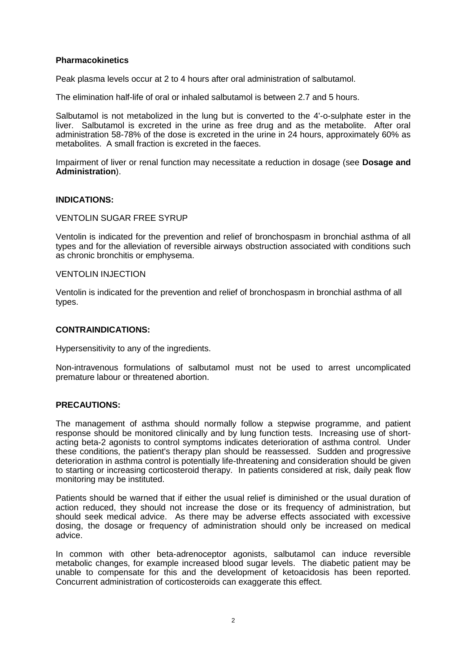# **Pharmacokinetics**

Peak plasma levels occur at 2 to 4 hours after oral administration of salbutamol.

The elimination half-life of oral or inhaled salbutamol is between 2.7 and 5 hours.

Salbutamol is not metabolized in the lung but is converted to the 4'-o-sulphate ester in the liver. Salbutamol is excreted in the urine as free drug and as the metabolite. After oral administration 58-78% of the dose is excreted in the urine in 24 hours, approximately 60% as metabolites. A small fraction is excreted in the faeces.

Impairment of liver or renal function may necessitate a reduction in dosage (see **Dosage and Administration**).

## **INDICATIONS:**

## VENTOLIN SUGAR FREE SYRUP

Ventolin is indicated for the prevention and relief of bronchospasm in bronchial asthma of all types and for the alleviation of reversible airways obstruction associated with conditions such as chronic bronchitis or emphysema.

#### VENTOLIN INJECTION

Ventolin is indicated for the prevention and relief of bronchospasm in bronchial asthma of all types.

## **CONTRAINDICATIONS:**

Hypersensitivity to any of the ingredients.

Non-intravenous formulations of salbutamol must not be used to arrest uncomplicated premature labour or threatened abortion.

## **PRECAUTIONS:**

The management of asthma should normally follow a stepwise programme, and patient response should be monitored clinically and by lung function tests. Increasing use of shortacting beta-2 agonists to control symptoms indicates deterioration of asthma control. Under these conditions, the patient's therapy plan should be reassessed. Sudden and progressive deterioration in asthma control is potentially life-threatening and consideration should be given to starting or increasing corticosteroid therapy. In patients considered at risk, daily peak flow monitoring may be instituted.

Patients should be warned that if either the usual relief is diminished or the usual duration of action reduced, they should not increase the dose or its frequency of administration, but should seek medical advice. As there may be adverse effects associated with excessive dosing, the dosage or frequency of administration should only be increased on medical advice.

In common with other beta-adrenoceptor agonists, salbutamol can induce reversible metabolic changes, for example increased blood sugar levels. The diabetic patient may be unable to compensate for this and the development of ketoacidosis has been reported. Concurrent administration of corticosteroids can exaggerate this effect.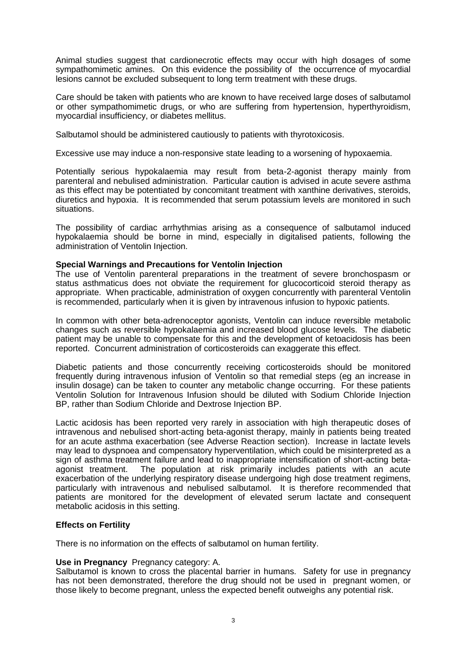Animal studies suggest that cardionecrotic effects may occur with high dosages of some sympathomimetic amines. On this evidence the possibility of the occurrence of myocardial lesions cannot be excluded subsequent to long term treatment with these drugs.

Care should be taken with patients who are known to have received large doses of salbutamol or other sympathomimetic drugs, or who are suffering from hypertension, hyperthyroidism, myocardial insufficiency, or diabetes mellitus.

Salbutamol should be administered cautiously to patients with thyrotoxicosis.

Excessive use may induce a non-responsive state leading to a worsening of hypoxaemia.

Potentially serious hypokalaemia may result from beta-2-agonist therapy mainly from parenteral and nebulised administration. Particular caution is advised in acute severe asthma as this effect may be potentiated by concomitant treatment with xanthine derivatives, steroids, diuretics and hypoxia. It is recommended that serum potassium levels are monitored in such situations.

The possibility of cardiac arrhythmias arising as a consequence of salbutamol induced hypokalaemia should be borne in mind, especially in digitalised patients, following the administration of Ventolin Injection.

### **Special Warnings and Precautions for Ventolin Injection**

The use of Ventolin parenteral preparations in the treatment of severe bronchospasm or status asthmaticus does not obviate the requirement for glucocorticoid steroid therapy as appropriate. When practicable, administration of oxygen concurrently with parenteral Ventolin is recommended, particularly when it is given by intravenous infusion to hypoxic patients.

In common with other beta-adrenoceptor agonists, Ventolin can induce reversible metabolic changes such as reversible hypokalaemia and increased blood glucose levels. The diabetic patient may be unable to compensate for this and the development of ketoacidosis has been reported. Concurrent administration of corticosteroids can exaggerate this effect.

Diabetic patients and those concurrently receiving corticosteroids should be monitored frequently during intravenous infusion of Ventolin so that remedial steps (eg an increase in insulin dosage) can be taken to counter any metabolic change occurring. For these patients Ventolin Solution for Intravenous Infusion should be diluted with Sodium Chloride Injection BP, rather than Sodium Chloride and Dextrose Injection BP.

Lactic acidosis has been reported very rarely in association with high therapeutic doses of intravenous and nebulised short-acting beta-agonist therapy, mainly in patients being treated for an acute asthma exacerbation (see Adverse Reaction section). Increase in lactate levels may lead to dyspnoea and compensatory hyperventilation, which could be misinterpreted as a sign of asthma treatment failure and lead to inappropriate intensification of short-acting betaagonist treatment. The population at risk primarily includes patients with an acute exacerbation of the underlying respiratory disease undergoing high dose treatment regimens, particularly with intravenous and nebulised salbutamol. It is therefore recommended that patients are monitored for the development of elevated serum lactate and consequent metabolic acidosis in this setting.

## **Effects on Fertility**

There is no information on the effects of salbutamol on human fertility.

#### **Use in Pregnancy** Pregnancy category: A.

Salbutamol is known to cross the placental barrier in humans. Safety for use in pregnancy has not been demonstrated, therefore the drug should not be used in pregnant women, or those likely to become pregnant, unless the expected benefit outweighs any potential risk.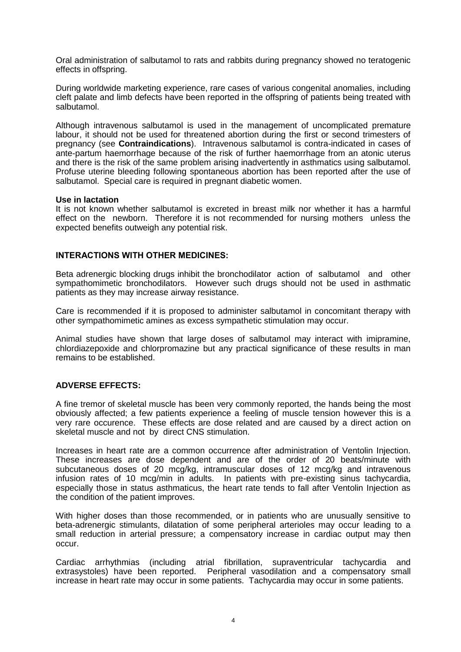Oral administration of salbutamol to rats and rabbits during pregnancy showed no teratogenic effects in offspring.

During worldwide marketing experience, rare cases of various congenital anomalies, including cleft palate and limb defects have been reported in the offspring of patients being treated with salbutamol.

Although intravenous salbutamol is used in the management of uncomplicated premature labour, it should not be used for threatened abortion during the first or second trimesters of pregnancy (see **Contraindications**). Intravenous salbutamol is contra-indicated in cases of ante-partum haemorrhage because of the risk of further haemorrhage from an atonic uterus and there is the risk of the same problem arising inadvertently in asthmatics using salbutamol. Profuse uterine bleeding following spontaneous abortion has been reported after the use of salbutamol. Special care is required in pregnant diabetic women.

## **Use in lactation**

It is not known whether salbutamol is excreted in breast milk nor whether it has a harmful effect on the newborn. Therefore it is not recommended for nursing mothers unless the expected benefits outweigh any potential risk.

## **INTERACTIONS WITH OTHER MEDICINES:**

Beta adrenergic blocking drugs inhibit the bronchodilator action of salbutamol and other sympathomimetic bronchodilators. However such drugs should not be used in asthmatic patients as they may increase airway resistance.

Care is recommended if it is proposed to administer salbutamol in concomitant therapy with other sympathomimetic amines as excess sympathetic stimulation may occur.

Animal studies have shown that large doses of salbutamol may interact with imipramine, chlordiazepoxide and chlorpromazine but any practical significance of these results in man remains to be established.

## **ADVERSE EFFECTS:**

A fine tremor of skeletal muscle has been very commonly reported, the hands being the most obviously affected; a few patients experience a feeling of muscle tension however this is a very rare occurence. These effects are dose related and are caused by a direct action on skeletal muscle and not by direct CNS stimulation.

Increases in heart rate are a common occurrence after administration of Ventolin Injection. These increases are dose dependent and are of the order of 20 beats/minute with subcutaneous doses of 20 mcg/kg, intramuscular doses of 12 mcg/kg and intravenous infusion rates of 10 mcg/min in adults. In patients with pre-existing sinus tachycardia, especially those in status asthmaticus, the heart rate tends to fall after Ventolin Injection as the condition of the patient improves.

With higher doses than those recommended, or in patients who are unusually sensitive to beta-adrenergic stimulants, dilatation of some peripheral arterioles may occur leading to a small reduction in arterial pressure; a compensatory increase in cardiac output may then occur.

Cardiac arrhythmias (including atrial fibrillation, supraventricular tachycardia and extrasystoles) have been reported. Peripheral vasodilation and a compensatory small increase in heart rate may occur in some patients. Tachycardia may occur in some patients.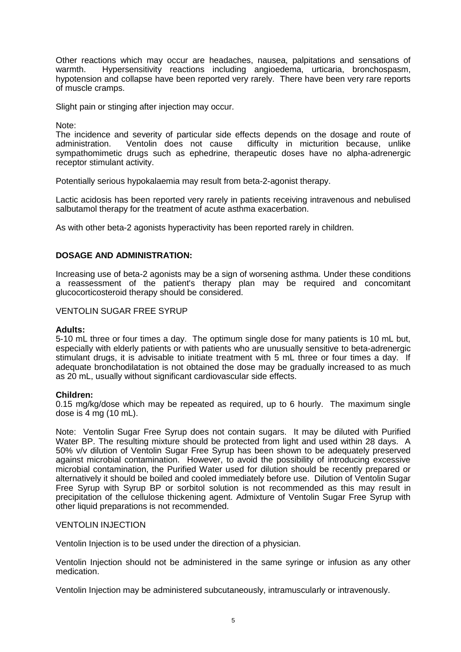Other reactions which may occur are headaches, nausea, palpitations and sensations of warmth. Hypersensitivity reactions including angioedema, urticaria, bronchospasm, hypotension and collapse have been reported very rarely. There have been very rare reports of muscle cramps.

Slight pain or stinging after injection may occur.

Note:

The incidence and severity of particular side effects depends on the dosage and route of administration. Ventolin does not cause difficulty in micturition because, unlike sympathomimetic drugs such as ephedrine, therapeutic doses have no alpha-adrenergic receptor stimulant activity.

Potentially serious hypokalaemia may result from beta-2-agonist therapy.

Lactic acidosis has been reported very rarely in patients receiving intravenous and nebulised salbutamol therapy for the treatment of acute asthma exacerbation.

As with other beta-2 agonists hyperactivity has been reported rarely in children.

## **DOSAGE AND ADMINISTRATION:**

Increasing use of beta-2 agonists may be a sign of worsening asthma. Under these conditions a reassessment of the patient's therapy plan may be required and concomitant glucocorticosteroid therapy should be considered.

#### VENTOLIN SUGAR FREE SYRUP

#### **Adults:**

5-10 mL three or four times a day. The optimum single dose for many patients is 10 mL but, especially with elderly patients or with patients who are unusually sensitive to beta-adrenergic stimulant drugs, it is advisable to initiate treatment with 5 mL three or four times a day. If adequate bronchodilatation is not obtained the dose may be gradually increased to as much as 20 mL, usually without significant cardiovascular side effects.

#### **Children:**

0.15 mg/kg/dose which may be repeated as required, up to 6 hourly. The maximum single dose is 4 mg (10 mL).

Note: Ventolin Sugar Free Syrup does not contain sugars. It may be diluted with Purified Water BP. The resulting mixture should be protected from light and used within 28 days. A 50% v/v dilution of Ventolin Sugar Free Syrup has been shown to be adequately preserved against microbial contamination. However, to avoid the possibility of introducing excessive microbial contamination, the Purified Water used for dilution should be recently prepared or alternatively it should be boiled and cooled immediately before use. Dilution of Ventolin Sugar Free Syrup with Syrup BP or sorbitol solution is not recommended as this may result in precipitation of the cellulose thickening agent. Admixture of Ventolin Sugar Free Syrup with other liquid preparations is not recommended.

### VENTOLIN INJECTION

Ventolin Injection is to be used under the direction of a physician.

Ventolin Injection should not be administered in the same syringe or infusion as any other medication.

Ventolin Injection may be administered subcutaneously, intramuscularly or intravenously.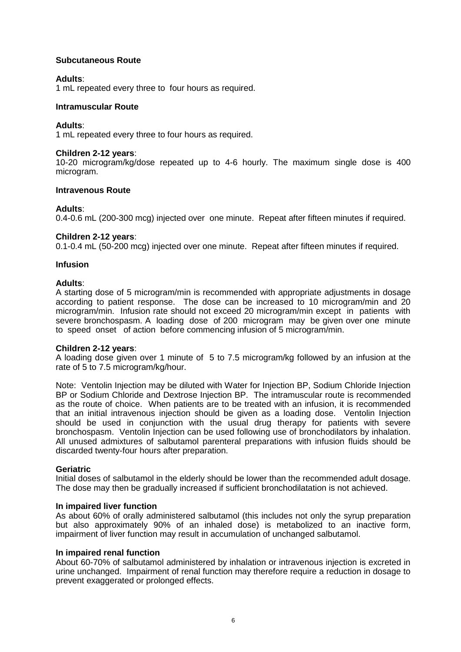# **Subcutaneous Route**

## **Adults**:

1 mL repeated every three to four hours as required.

### **Intramuscular Route**

### **Adults**:

1 mL repeated every three to four hours as required.

### **Children 2-12 years**:

10-20 microgram/kg/dose repeated up to 4-6 hourly. The maximum single dose is 400 microgram.

### **Intravenous Route**

### **Adults**:

0.4-0.6 mL (200-300 mcg) injected over one minute. Repeat after fifteen minutes if required.

## **Children 2-12 years**:

0.1-0.4 mL (50-200 mcg) injected over one minute. Repeat after fifteen minutes if required.

### **Infusion**

### **Adults**:

A starting dose of 5 microgram/min is recommended with appropriate adjustments in dosage according to patient response. The dose can be increased to 10 microgram/min and 20 microgram/min. Infusion rate should not exceed 20 microgram/min except in patients with severe bronchospasm. A loading dose of 200 microgram may be given over one minute to speed onset of action before commencing infusion of 5 microgram/min.

## **Children 2-12 years**:

A loading dose given over 1 minute of 5 to 7.5 microgram/kg followed by an infusion at the rate of 5 to 7.5 microgram/kg/hour.

Note: Ventolin Injection may be diluted with Water for Injection BP, Sodium Chloride Injection BP or Sodium Chloride and Dextrose Injection BP. The intramuscular route is recommended as the route of choice. When patients are to be treated with an infusion, it is recommended that an initial intravenous injection should be given as a loading dose. Ventolin Injection should be used in conjunction with the usual drug therapy for patients with severe bronchospasm. Ventolin Injection can be used following use of bronchodilators by inhalation. All unused admixtures of salbutamol parenteral preparations with infusion fluids should be discarded twenty-four hours after preparation.

#### **Geriatric**

Initial doses of salbutamol in the elderly should be lower than the recommended adult dosage. The dose may then be gradually increased if sufficient bronchodilatation is not achieved.

#### **In impaired liver function**

As about 60% of orally administered salbutamol (this includes not only the syrup preparation but also approximately 90% of an inhaled dose) is metabolized to an inactive form, impairment of liver function may result in accumulation of unchanged salbutamol.

#### **In impaired renal function**

About 60-70% of salbutamol administered by inhalation or intravenous injection is excreted in urine unchanged. Impairment of renal function may therefore require a reduction in dosage to prevent exaggerated or prolonged effects.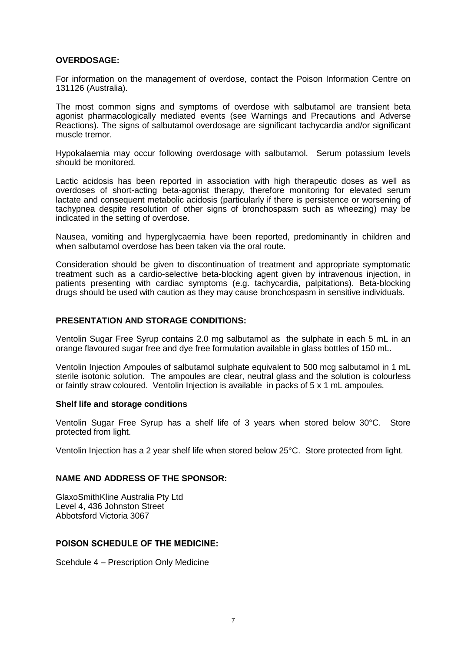## **OVERDOSAGE:**

For information on the management of overdose, contact the Poison Information Centre on 131126 (Australia).

The most common signs and symptoms of overdose with salbutamol are transient beta agonist pharmacologically mediated events (see Warnings and Precautions and Adverse Reactions). The signs of salbutamol overdosage are significant tachycardia and/or significant muscle tremor.

Hypokalaemia may occur following overdosage with salbutamol. Serum potassium levels should be monitored.

Lactic acidosis has been reported in association with high therapeutic doses as well as overdoses of short-acting beta-agonist therapy, therefore monitoring for elevated serum lactate and consequent metabolic acidosis (particularly if there is persistence or worsening of tachypnea despite resolution of other signs of bronchospasm such as wheezing) may be indicated in the setting of overdose.

Nausea, vomiting and hyperglycaemia have been reported, predominantly in children and when salbutamol overdose has been taken via the oral route.

Consideration should be given to discontinuation of treatment and appropriate symptomatic treatment such as a cardio-selective beta-blocking agent given by intravenous injection, in patients presenting with cardiac symptoms (e.g. tachycardia, palpitations). Beta-blocking drugs should be used with caution as they may cause bronchospasm in sensitive individuals.

## **PRESENTATION AND STORAGE CONDITIONS:**

Ventolin Sugar Free Syrup contains 2.0 mg salbutamol as the sulphate in each 5 mL in an orange flavoured sugar free and dye free formulation available in glass bottles of 150 mL.

Ventolin Injection Ampoules of salbutamol sulphate equivalent to 500 mcg salbutamol in 1 mL sterile isotonic solution. The ampoules are clear, neutral glass and the solution is colourless or faintly straw coloured. Ventolin Injection is available in packs of 5 x 1 mL ampoules.

## **Shelf life and storage conditions**

Ventolin Sugar Free Syrup has a shelf life of 3 years when stored below 30°C. Store protected from light.

Ventolin Injection has a 2 year shelf life when stored below 25°C. Store protected from light.

## **NAME AND ADDRESS OF THE SPONSOR:**

GlaxoSmithKline Australia Pty Ltd Level 4, 436 Johnston Street Abbotsford Victoria 3067

## **POISON SCHEDULE OF THE MEDICINE:**

Scehdule 4 – Prescription Only Medicine